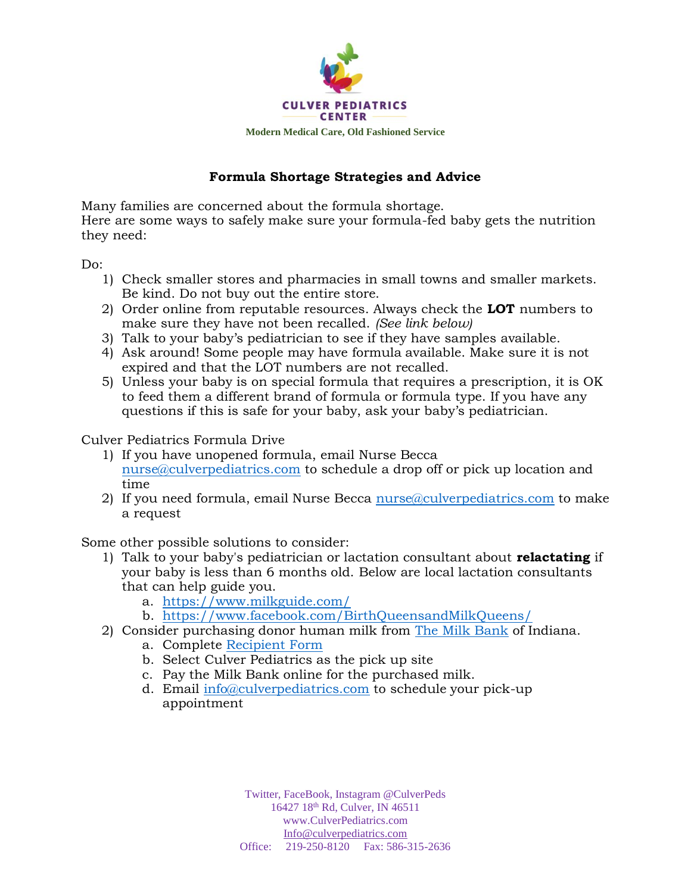

## **Formula Shortage Strategies and Advice**

Many families are concerned about the formula shortage. Here are some ways to safely make sure your formula-fed baby gets the nutrition they need:

Do:

- 1) Check smaller stores and pharmacies in small towns and smaller markets. Be kind. Do not buy out the entire store.
- 2) Order online from reputable resources. Always check the **LOT** numbers to make sure they have not been recalled. *(See link below)*
- 3) Talk to your baby's pediatrician to see if they have samples available.
- 4) Ask around! Some people may have formula available. Make sure it is not expired and that the LOT numbers are not recalled.
- 5) Unless your baby is on special formula that requires a prescription, it is OK to feed them a different brand of formula or formula type. If you have any questions if this is safe for your baby, ask your baby's pediatrician.

Culver Pediatrics Formula Drive

- 1) If you have unopened formula, email Nurse Becca [nurse@culverpediatrics.com](mailto:nurse@culverpediatrics.com) to schedule a drop off or pick up location and time
- 2) If you need formula, email Nurse Becca nurse  $a$ culverpediatrics.com to make a request

Some other possible solutions to consider:

- 1) Talk to your baby's pediatrician or lactation consultant about **relactating** if your baby is less than 6 months old. Below are local lactation consultants that can help guide you.
	- a. <https://www.milkguide.com/>
	- b. <https://www.facebook.com/BirthQueensandMilkQueens/>
- 2) Consider purchasing donor human milk from [The Milk Bank](https://www.themilkbank.org/) of Indiana. a. Complete [Recipient Form](https://www.themilkbank.org/milk-recipient)
	- b. Select Culver Pediatrics as the pick up site
	- c. Pay the Milk Bank online for the purchased milk.
	- d. Email [info@culverpediatrics.com](mailto:info@culverpediatrics.com) to schedule your pick-up appointment

Twitter, FaceBook, Instagram @CulverPeds 16427 18th Rd, Culver, IN 46511 www.CulverPediatrics.com [Info@culverpediatrics.com](mailto:Info@culverpediatrics.com) Office: 219-250-8120 Fax: 586-315-2636